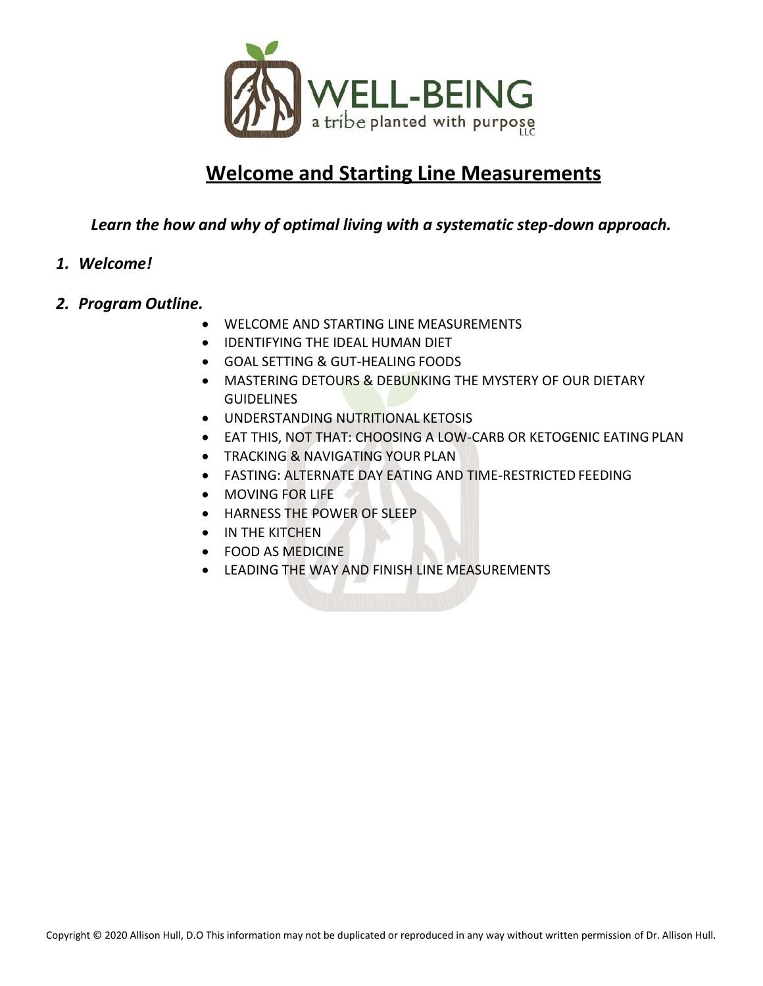

# **Welcome and Starting Line Measurements**

### *Learn the how and why of optimal living with a systematic step-down approach.*

#### *1. Welcome!*

#### *2. Program Outline.*

- WELCOME AND STARTING LINE MEASUREMENTS
- IDENTIFYING THE IDEAL HUMAN DIET
- GOAL SETTING & GUT-HEALING FOODS
- MASTERING DETOURS & DEBUNKING THE MYSTERY OF OUR DIETARY **GUIDELINES**
- UNDERSTANDING NUTRITIONAL KETOSIS
- EAT THIS, NOT THAT: CHOOSING A LOW-CARB OR KETOGENIC EATING PLAN
- **TRACKING & NAVIGATING YOUR PLAN**
- FASTING: ALTERNATE DAY EATING AND TIME-RESTRICTED FEEDING
- MOVING FOR LIFE
- HARNESS THE POWER OF SLEEP
- IN THE KITCHEN
- FOOD AS MEDICINE
- LEADING THE WAY AND FINISH LINE MEASUREMENTS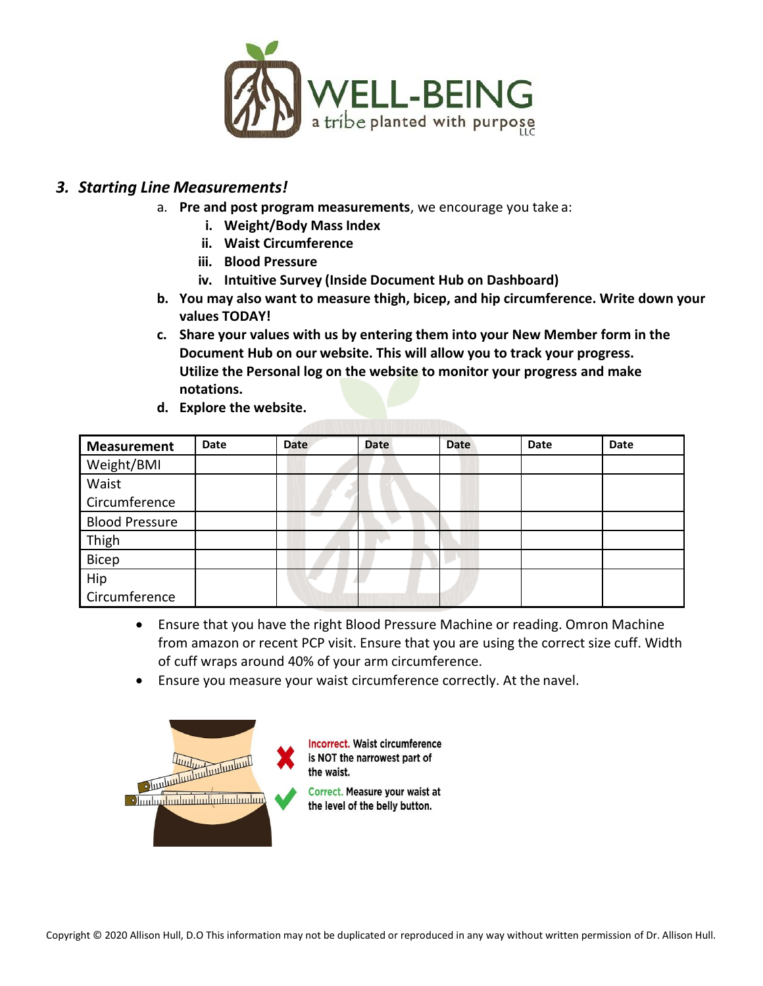

#### *3. Starting Line Measurements!*

- a. **Pre and post program measurements**, we encourage you take a:
	- **i. Weight/Body Mass Index**
	- **ii. Waist Circumference**
	- **iii. Blood Pressure**
	- **iv. Intuitive Survey (Inside Document Hub on Dashboard)**
- **b. You may also want to measure thigh, bicep, and hip circumference. Write down your values TODAY!**
- **c. Share your values with us by entering them into your New Member form in the Document Hub on our website. This will allow you to track your progress. Utilize the Personal log on the website to monitor your progress and make notations.**
- **d. Explore the website.**

| <b>Measurement</b>    | Date | <b>Date</b> | <b>Date</b> | <b>Date</b> | Date | Date |
|-----------------------|------|-------------|-------------|-------------|------|------|
| Weight/BMI            |      |             |             |             |      |      |
| Waist                 |      |             |             |             |      |      |
| Circumference         |      |             |             |             |      |      |
| <b>Blood Pressure</b> |      |             |             |             |      |      |
| Thigh                 |      |             |             |             |      |      |
| Bicep                 |      |             |             |             |      |      |
| Hip                   |      |             |             |             |      |      |
| Circumference         |      |             |             |             |      |      |

- Ensure that you have the right Blood Pressure Machine or reading. Omron Machine from amazon or recent PCP visit. Ensure that you are using the correct size cuff. Width of cuff wraps around 40% of your arm circumference.
- Ensure you measure your waist circumference correctly. At the navel.

| Junhunhunhunhun | <b>Incorrect. Waist circumference</b><br>is NOT the narrowest part of<br>the waist. |
|-----------------|-------------------------------------------------------------------------------------|
|                 | Correct. Measure your waist at<br>the level of the belly button.                    |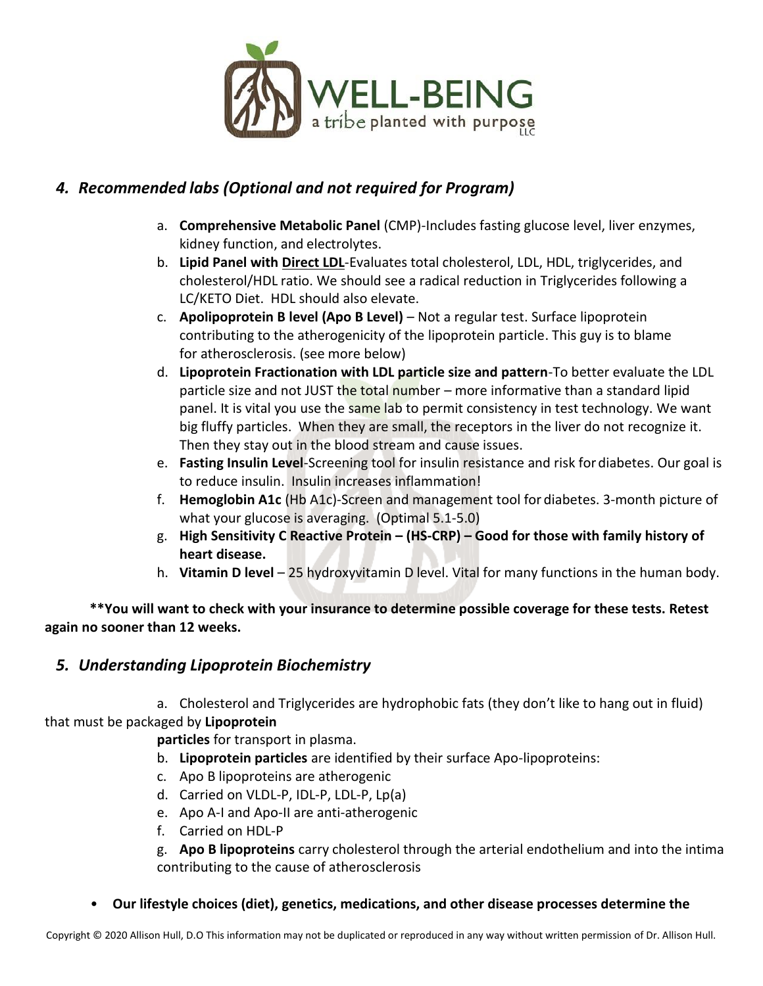

# *4. Recommended labs (Optional and not required for Program)*

- a. **Comprehensive Metabolic Panel** (CMP)-Includes fasting glucose level, liver enzymes, kidney function, and electrolytes.
- b. **Lipid Panel with Direct LDL**-Evaluates total cholesterol, LDL, HDL, triglycerides, and cholesterol/HDL ratio. We should see a radical reduction in Triglycerides following a LC/KETO Diet. HDL should also elevate.
- c. **Apolipoprotein B level (Apo B Level)**  Not a regular test. Surface lipoprotein contributing to the atherogenicity of the lipoprotein particle. This guy is to blame for atherosclerosis. (see more below)
- d. **Lipoprotein Fractionation with LDL particle size and pattern**-To better evaluate the LDL particle size and not JUST the total number – more informative than a standard lipid panel. It is vital you use the same lab to permit consistency in test technology. We want big fluffy particles. When they are small, the receptors in the liver do not recognize it. Then they stay out in the blood stream and cause issues.
- e. **Fasting Insulin Level**-Screening tool for insulin resistance and risk fordiabetes. Our goal is to reduce insulin. Insulin increases inflammation!
- f. **Hemoglobin A1c** (Hb A1c)-Screen and management tool for diabetes. 3-month picture of what your glucose is averaging. (Optimal 5.1-5.0)
- g. **High Sensitivity C Reactive Protein – (HS-CRP) – Good for those with family history of heart disease.**
- h. **Vitamin D level** 25 hydroxyvitamin D level. Vital for many functions in the human body.

**\*\*You will want to check with your insurance to determine possible coverage for these tests. Retest again no sooner than 12 weeks.**

#### *5. Understanding Lipoprotein Biochemistry*

a. Cholesterol and Triglycerides are hydrophobic fats (they don't like to hang out in fluid) that must be packaged by **Lipoprotein**

**particles** for transport in plasma.

- b. **Lipoprotein particles** are identified by their surface Apo-lipoproteins:
- c. Apo B lipoproteins are atherogenic
- d. Carried on VLDL-P, IDL-P, LDL-P, Lp(a)
- e. Apo A-I and Apo-II are anti-atherogenic
- f. Carried on HDL-P

g. **Apo B lipoproteins** carry cholesterol through the arterial endothelium and into the intima contributing to the cause of atherosclerosis

• **Our lifestyle choices (diet), genetics, medications, and other disease processes determine the**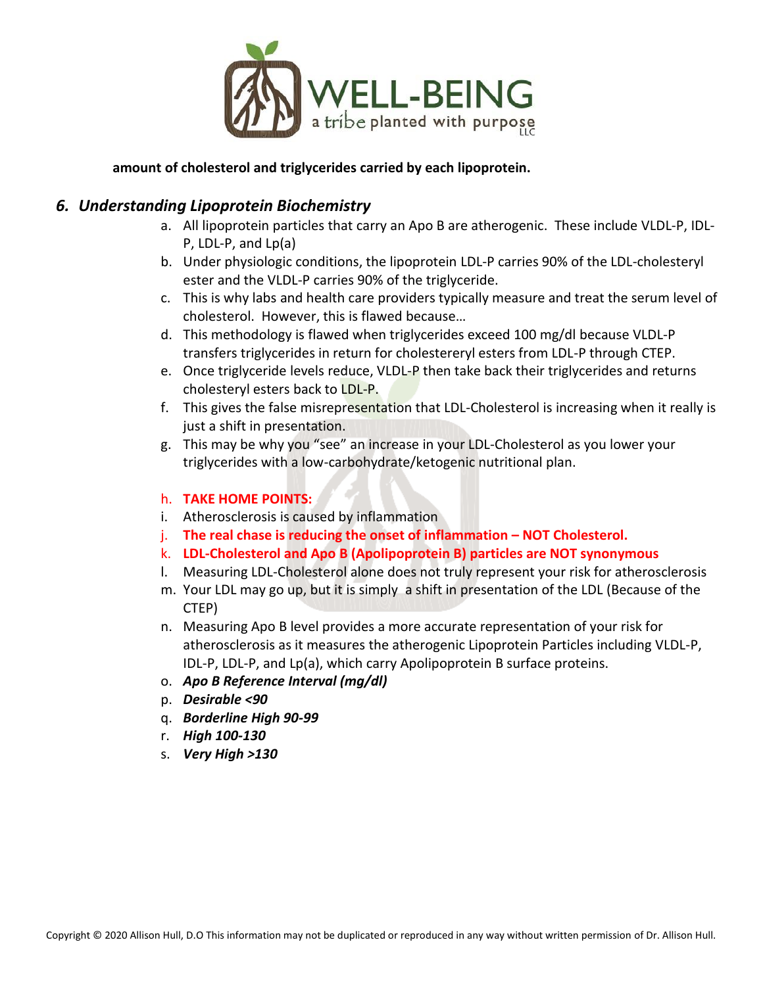

#### **amount of cholesterol and triglycerides carried by each lipoprotein.**

#### *6. Understanding Lipoprotein Biochemistry*

- a. All lipoprotein particles that carry an Apo B are atherogenic. These include VLDL-P, IDL-P, LDL-P, and Lp(a)
- b. Under physiologic conditions, the lipoprotein LDL-P carries 90% of the LDL-cholesteryl ester and the VLDL-P carries 90% of the triglyceride.
- c. This is why labs and health care providers typically measure and treat the serum level of cholesterol. However, this is flawed because…
- d. This methodology is flawed when triglycerides exceed 100 mg/dl because VLDL-P transfers triglycerides in return for cholestereryl esters from LDL-P through CTEP.
- e. Once triglyceride levels reduce, VLDL-P then take back their triglycerides and returns cholesteryl esters back to LDL-P.
- f. This gives the false misrepresentation that LDL-Cholesterol is increasing when it really is just a shift in presentation.
- g. This may be why you "see" an increase in your LDL-Cholesterol as you lower your triglycerides with a low-carbohydrate/ketogenic nutritional plan.

#### h. **TAKE HOME POINTS:**

- i. Atherosclerosis is caused by inflammation
- j. **The real chase is reducing the onset of inflammation – NOT Cholesterol.**
- k. **LDL-Cholesterol and Apo B (Apolipoprotein B) particles are NOT synonymous**
- l. Measuring LDL-Cholesterol alone does not truly represent your risk for atherosclerosis
- m. Your LDL may go up, but it is simply a shift in presentation of the LDL (Because of the CTEP)
- n. Measuring Apo B level provides a more accurate representation of your risk for atherosclerosis as it measures the atherogenic Lipoprotein Particles including VLDL-P, IDL-P, LDL-P, and Lp(a), which carry Apolipoprotein B surface proteins.
- o. *Apo B Reference Interval (mg/dl)*
- p. *Desirable <90*
- q. *Borderline High 90-99*
- r. *High 100-130*
- s. *Very High >130*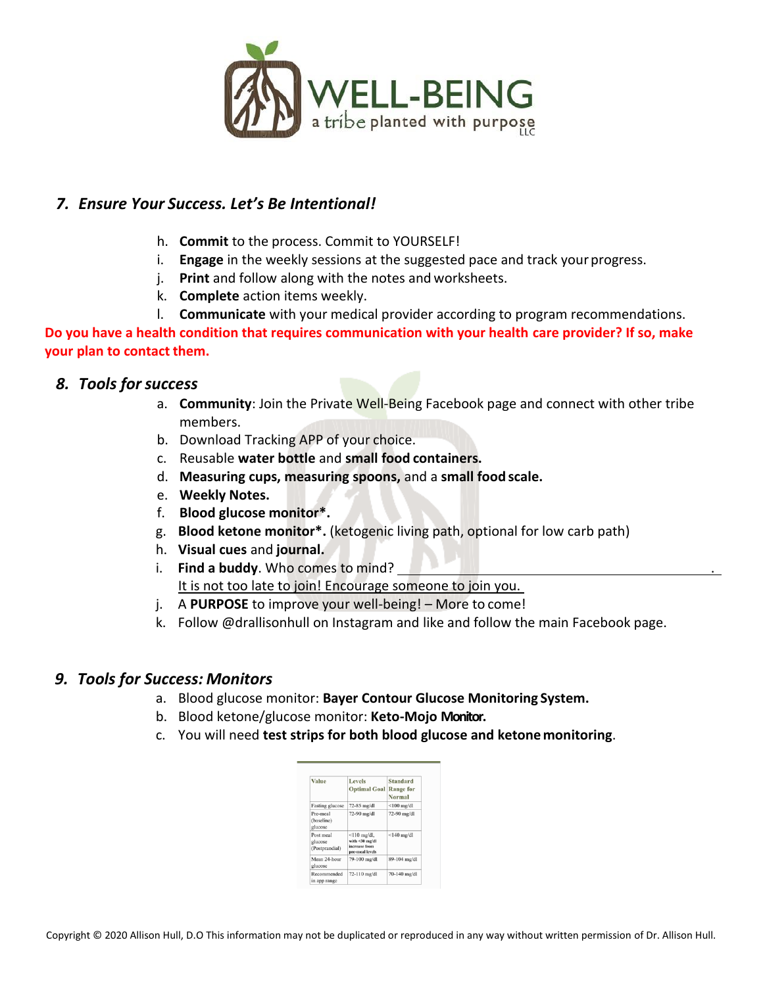

#### *7. Ensure Your Success. Let's Be Intentional!*

- h. **Commit** to the process. Commit to YOURSELF!
- i. **Engage** in the weekly sessions at the suggested pace and track your progress.
- j. **Print** and follow along with the notes and worksheets.
- k. **Complete** action items weekly.
- l. **Communicate** with your medical provider according to program recommendations.

**Do you have a health condition that requires communication with your health care provider? If so, make your plan to contact them.**

#### *8. Tools forsuccess*

- a. **Community**: Join the Private Well-Being Facebook page and connect with other tribe members.
- b. Download Tracking APP of your choice.
- c. Reusable **water bottle** and **small food containers.**
- d. **Measuring cups, measuring spoons,** and a **small food scale.**
- e. **Weekly Notes.**
- f. **Blood glucose monitor\*.**
- g. **Blood ketone monitor\*.** (ketogenic living path, optional for low carb path)
- h. **Visual cues** and **journal.**
- i. **Find a buddy**. Who comes to mind? . It is not too late to join! Encourage someone to join you.
- j. A **PURPOSE** to improve your well-being! More to come!
- k. Follow @drallisonhull on Instagram and like and follow the main Facebook page.

#### *9. Tools for Success: Monitors*

- a. Blood glucose monitor: **Bayer Contour Glucose Monitoring System.**
- b. Blood ketone/glucose monitor: **Keto-Mojo Monitor.**
- c. You will need **test strips for both blood glucose and ketone monitoring**.

| Value                                  | Levels<br><b>Optimal Goal</b>                                           | Standard<br><b>Range for</b><br>Normal |
|----------------------------------------|-------------------------------------------------------------------------|----------------------------------------|
| Fasting glucose                        | 72-85 mg/dl                                                             | $<$ 100 mg/dl                          |
| Pre-meal<br>(baseline)<br>glucose      | 72-90 mg/dl                                                             | 72-90 mg/dl                            |
| Post meal<br>glucose<br>(Postprandial) | $\leq$ 110 mg/dl,<br>with <30 mg/dl<br>increase from<br>pre-meal levels | $<$ 140 mg/dl                          |
| Mean 24-hour<br>glucose                | 79-100 mg/dl                                                            | 89-104 mg/dl                           |
| Recommended<br>in app range            | 72-110 mg/dl                                                            | 70-140 mg/dl                           |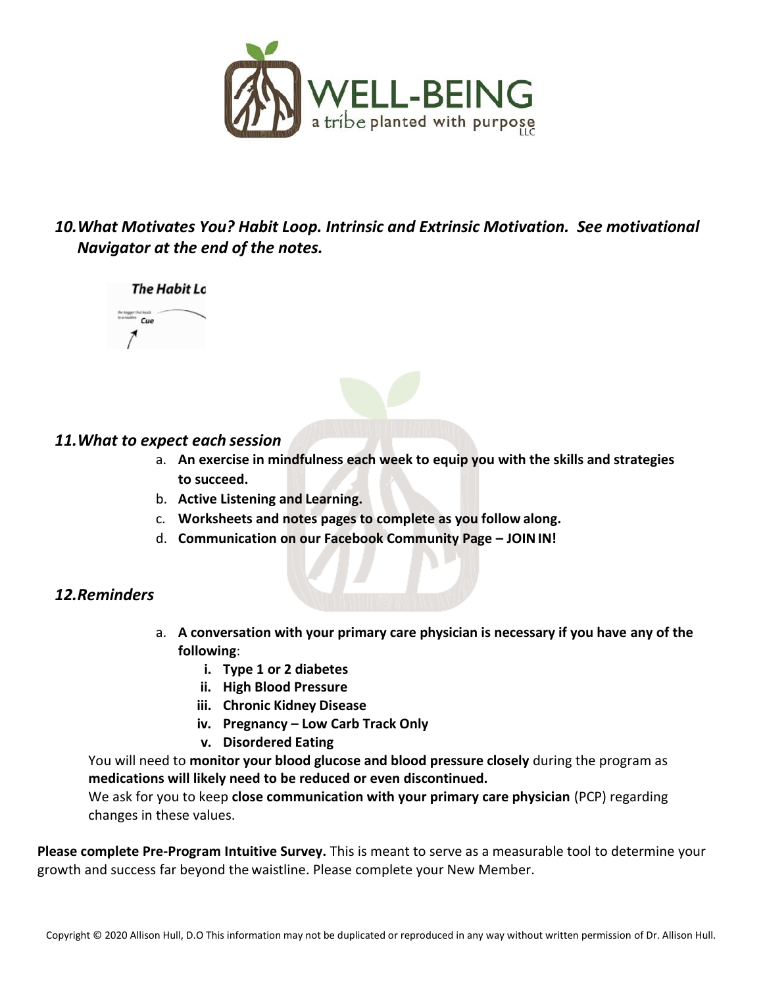

# *10.What Motivates You? Habit Loop. Intrinsic and Extrinsic Motivation. See motivational Navigator at the end of the notes.*





#### *11.What to expect each session*

- a. **An exercise in mindfulness each week to equip you with the skills and strategies to succeed.**
- b. **Active Listening and Learning.**
- c. **Worksheets and notes pages to complete as you follow along.**
- d. **Communication on our Facebook Community Page – JOININ!**

### *12.Reminders*

- a. **A conversation with your primary care physician is necessary if you have any of the following**:
	- **i. Type 1 or 2 diabetes**
	- **ii. High Blood Pressure**
	- **iii. Chronic Kidney Disease**
	- **iv. Pregnancy – Low Carb Track Only**
	- **v. Disordered Eating**

You will need to **monitor your blood glucose and blood pressure closely** during the program as **medications will likely need to be reduced or even discontinued.**

We ask for you to keep **close communication with your primary care physician** (PCP) regarding changes in these values.

**Please complete Pre-Program Intuitive Survey.** This is meant to serve as a measurable tool to determine your growth and success far beyond the waistline. Please complete your New Member.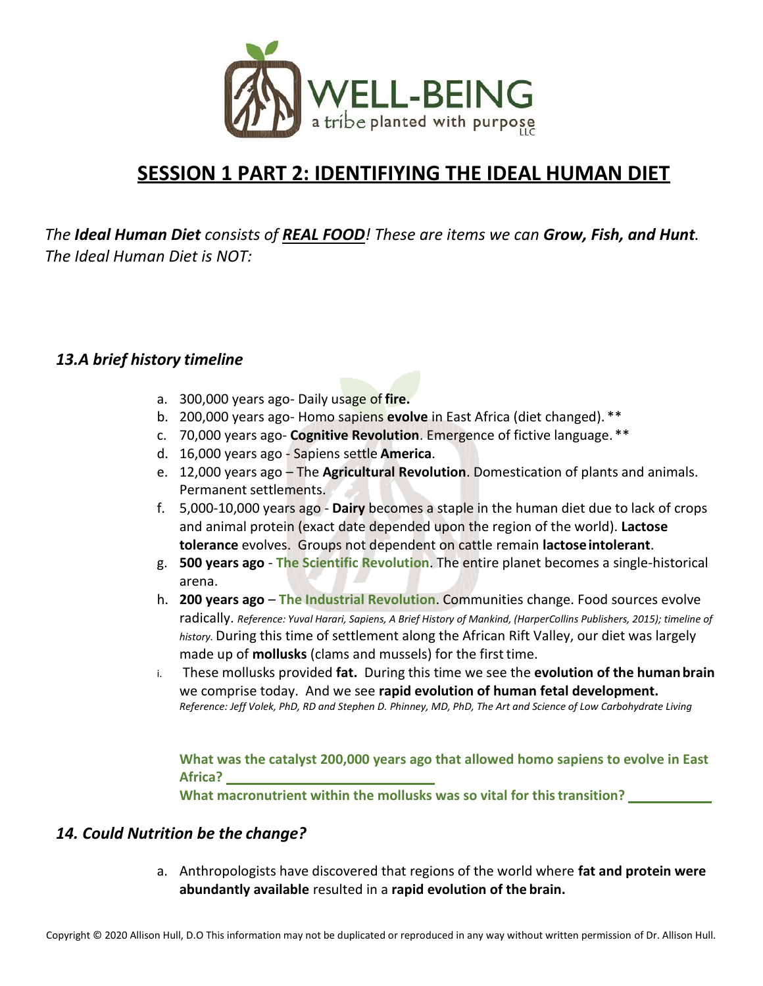

# **SESSION 1 PART 2: IDENTIFIYING THE IDEAL HUMAN DIET**

*The Ideal Human Diet consists of REAL FOOD! These are items we can Grow, Fish, and Hunt. The Ideal Human Diet is NOT:*

#### *13.A brief history timeline*

- a. 300,000 years ago- Daily usage of **fire.**
- b. 200,000 years ago- Homo sapiens **evolve** in East Africa (diet changed). \*\*
- c. 70,000 years ago- **Cognitive Revolution**. Emergence of fictive language. \*\*
- d. 16,000 years ago Sapiens settle **America**.
- e. 12,000 years ago The **Agricultural Revolution**. Domestication of plants and animals. Permanent settlements.
- f. 5,000-10,000 years ago **Dairy** becomes a staple in the human diet due to lack of crops and animal protein (exact date depended upon the region of the world). **Lactose tolerance** evolves. Groups not dependent on cattle remain **lactoseintolerant**.
- g. **500 years ago The Scientific Revolution**. The entire planet becomes a single-historical arena.
- h. **200 years ago The Industrial Revolution**. Communities change. Food sources evolve radically. *Reference: Yuval Harari, Sapiens, A Brief History of Mankind, (HarperCollins Publishers, 2015); timeline of history.* During this time of settlement along the African Rift Valley, our diet was largely made up of **mollusks** (clams and mussels) for the first time.
- i. These mollusks provided **fat.** During this time we see the **evolution of the humanbrain** we comprise today. And we see **rapid evolution of human fetal development.** *Reference: Jeff Volek, PhD, RD and Stephen D. Phinney, MD, PhD, The Art and Science of Low Carbohydrate Living*

**What was the catalyst 200,000 years ago that allowed homo sapiens to evolve in East Africa?**

**What macronutrient within the mollusks was so vital for thistransition?**

#### *14. Could Nutrition be the change?*

a. Anthropologists have discovered that regions of the world where **fat and protein were abundantly available** resulted in a **rapid evolution of the brain.**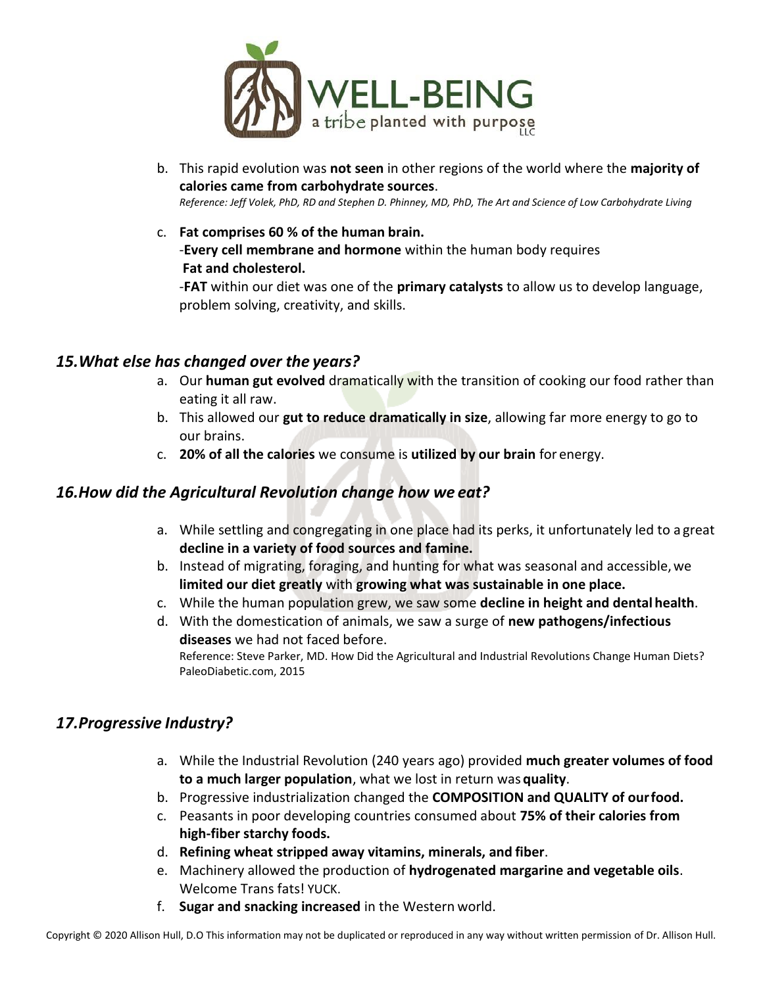

- b. This rapid evolution was **not seen** in other regions of the world where the **majority of calories came from carbohydrate sources**. *Reference: Jeff Volek, PhD, RD and Stephen D. Phinney, MD, PhD, The Art and Science of Low Carbohydrate Living*
- c. **Fat comprises 60 % of the human brain.** -**Every cell membrane and hormone** within the human body requires **Fat and cholesterol.**

-**FAT** within our diet was one of the **primary catalysts** to allow us to develop language, problem solving, creativity, and skills.

#### *15.What else has changed over the years?*

- a. Our **human gut evolved** dramatically with the transition of cooking our food rather than eating it all raw.
- b. This allowed our **gut to reduce dramatically in size**, allowing far more energy to go to our brains.
- c. **20% of all the calories** we consume is **utilized by our brain** for energy.

#### *16.How did the Agricultural Revolution change how we eat?*

- a. While settling and congregating in one place had its perks, it unfortunately led to a great **decline in a variety of food sources and famine.**
- b. Instead of migrating, foraging, and hunting for what was seasonal and accessible,we **limited our diet greatly** with **growing what was sustainable in one place.**
- c. While the human population grew, we saw some **decline in height and dental health**.
- d. With the domestication of animals, we saw a surge of **new pathogens/infectious diseases** we had not faced before.

Reference: Steve Parker, MD. How Did the Agricultural and Industrial Revolutions Change Human Diets? PaleoDiabetic.com, 2015

### *17.Progressive Industry?*

- a. While the Industrial Revolution (240 years ago) provided **much greater volumes of food to a much larger population**, what we lost in return was **quality**.
- b. Progressive industrialization changed the **COMPOSITION and QUALITY of ourfood.**
- c. Peasants in poor developing countries consumed about **75% of their calories from high-fiber starchy foods.**
- d. **Refining wheat stripped away vitamins, minerals, and fiber**.
- e. Machinery allowed the production of **hydrogenated margarine and vegetable oils**. Welcome Trans fats! YUCK.
- f. **Sugar and snacking increased** in the Western world.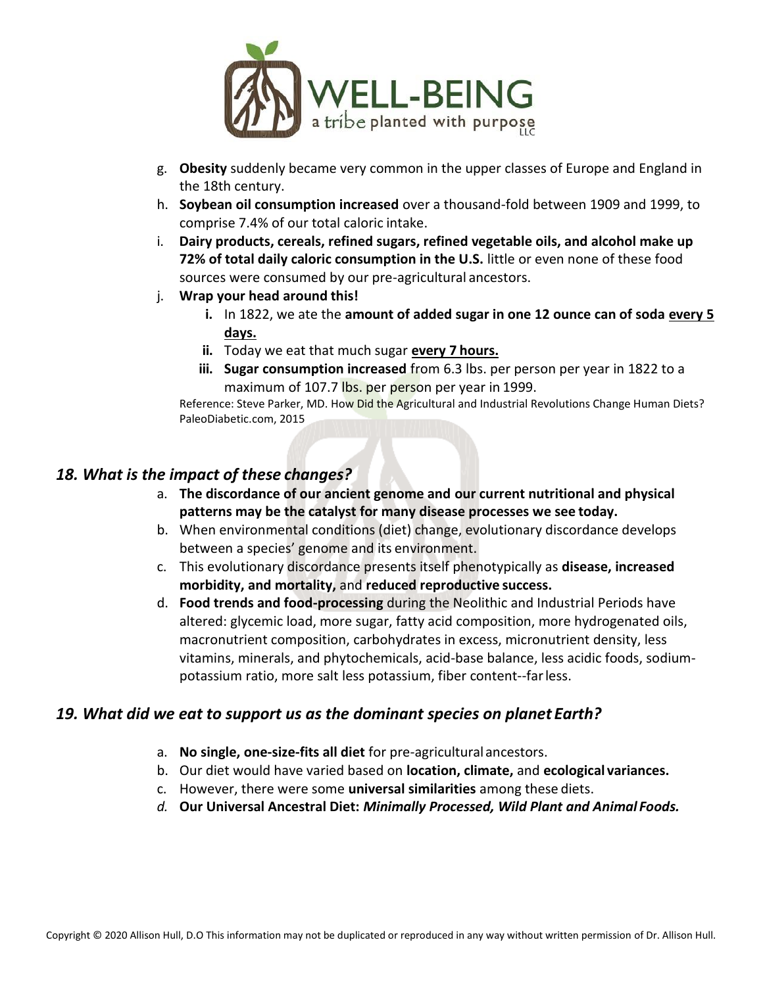

- g. **Obesity** suddenly became very common in the upper classes of Europe and England in the 18th century.
- h. **Soybean oil consumption increased** over a thousand-fold between 1909 and 1999, to comprise 7.4% of our total caloric intake.
- i. **Dairy products, cereals, refined sugars, refined vegetable oils, and alcohol make up 72% of total daily caloric consumption in the U.S.** little or even none of these food sources were consumed by our pre-agricultural ancestors.
- j. **Wrap your head around this!**
	- **i.** In 1822, we ate the **amount of added sugar in one 12 ounce can of soda every 5 days.**
	- **ii.** Today we eat that much sugar **every 7 hours.**
	- **iii. Sugar consumption increased** from 6.3 lbs. per person per year in 1822 to a maximum of 107.7 lbs. per person per year in 1999.

Reference: Steve Parker, MD. How Did the Agricultural and Industrial Revolutions Change Human Diets? PaleoDiabetic.com, 2015

#### *18. What is the impact of these changes?*

- a. **The discordance of our ancient genome and our current nutritional and physical patterns may be the catalyst for many disease processes we see today.**
- b. When environmental conditions (diet) change, evolutionary discordance develops between a species' genome and its environment.
- c. This evolutionary discordance presents itself phenotypically as **disease, increased morbidity, and mortality,** and **reduced reproductive success.**
- d. **Food trends and food-processing** during the Neolithic and Industrial Periods have altered: glycemic load, more sugar, fatty acid composition, more hydrogenated oils, macronutrient composition, carbohydrates in excess, micronutrient density, less vitamins, minerals, and phytochemicals, acid-base balance, less acidic foods, sodiumpotassium ratio, more salt less potassium, fiber content--farless.

#### *19. What did we eat to support us as the dominant species on planet Earth?*

- a. **No single, one-size-fits all diet** for pre-agricultural ancestors.
- b. Our diet would have varied based on **location, climate,** and **ecological variances.**
- c. However, there were some **universal similarities** among these diets.
- *d.* **Our Universal Ancestral Diet:** *Minimally Processed, Wild Plant and Animal Foods.*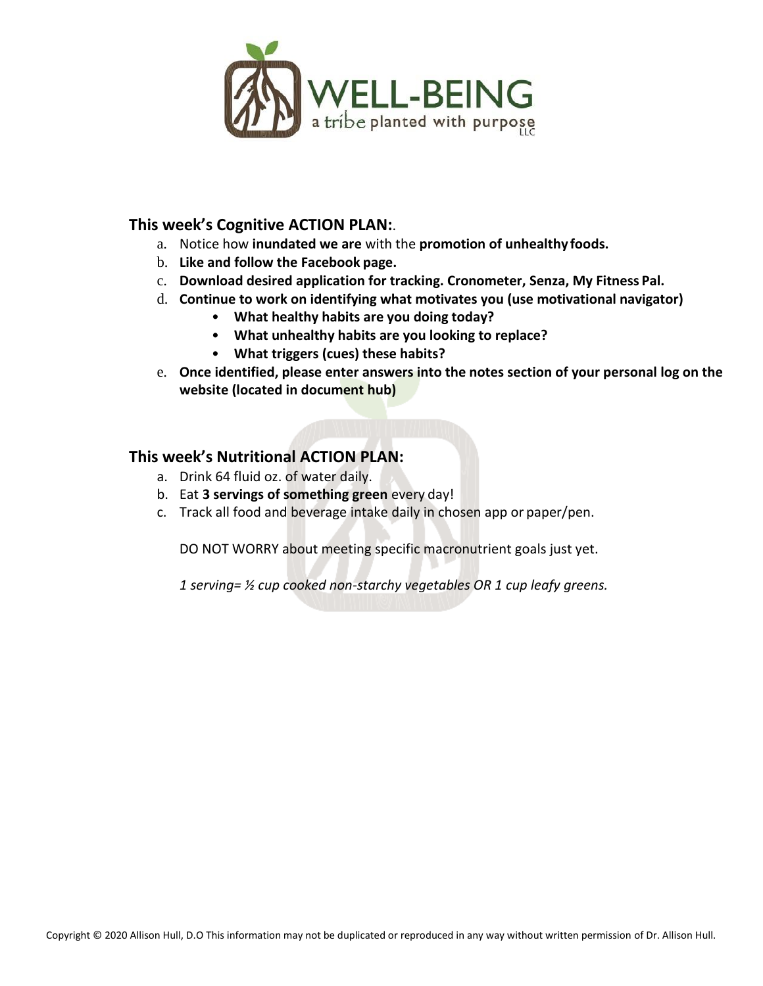

#### **This week's Cognitive ACTION PLAN:**.

- a. Notice how **inundated we are** with the **promotion of unhealthy foods.**
- b. **Like and follow the Facebook page.**
- c. **Download desired application for tracking. Cronometer, Senza, My Fitness Pal.**
- d. **Continue to work on identifying what motivates you (use motivational navigator)**
	- **What healthy habits are you doing today?**
	- **What unhealthy habits are you looking to replace?**
	- **What triggers (cues) these habits?**
- e. **Once identified, please enter answers into the notes section of your personal log on the website (located in document hub)**

#### **This week's Nutritional ACTION PLAN:**

- a. Drink 64 fluid oz. of water daily.
- b. Eat **3 servings of something green** every day!
- c. Track all food and beverage intake daily in chosen app or paper/pen.

DO NOT WORRY about meeting specific macronutrient goals just yet.

*1 serving= ½ cup cooked non-starchy vegetables OR 1 cup leafy greens.*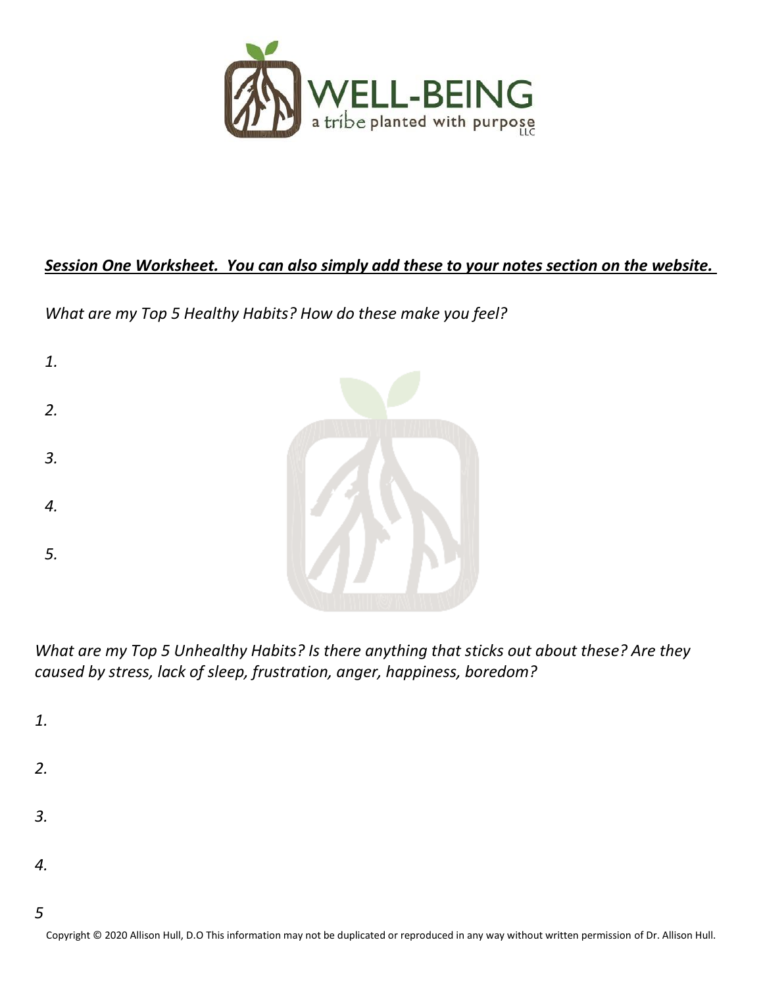

# *Session One Worksheet. You can also simply add these to your notes section on the website.*

*What are my Top 5 Healthy Habits? How do these make you feel?* 

| 1. |  |
|----|--|
| 2. |  |
| 3. |  |
| 4. |  |
| 5. |  |
|    |  |

*What are my Top 5 Unhealthy Habits? Is there anything that sticks out about these? Are they caused by stress, lack of sleep, frustration, anger, happiness, boredom?* 

*1.*

- *2.*
- *3.*
- 
- *4.*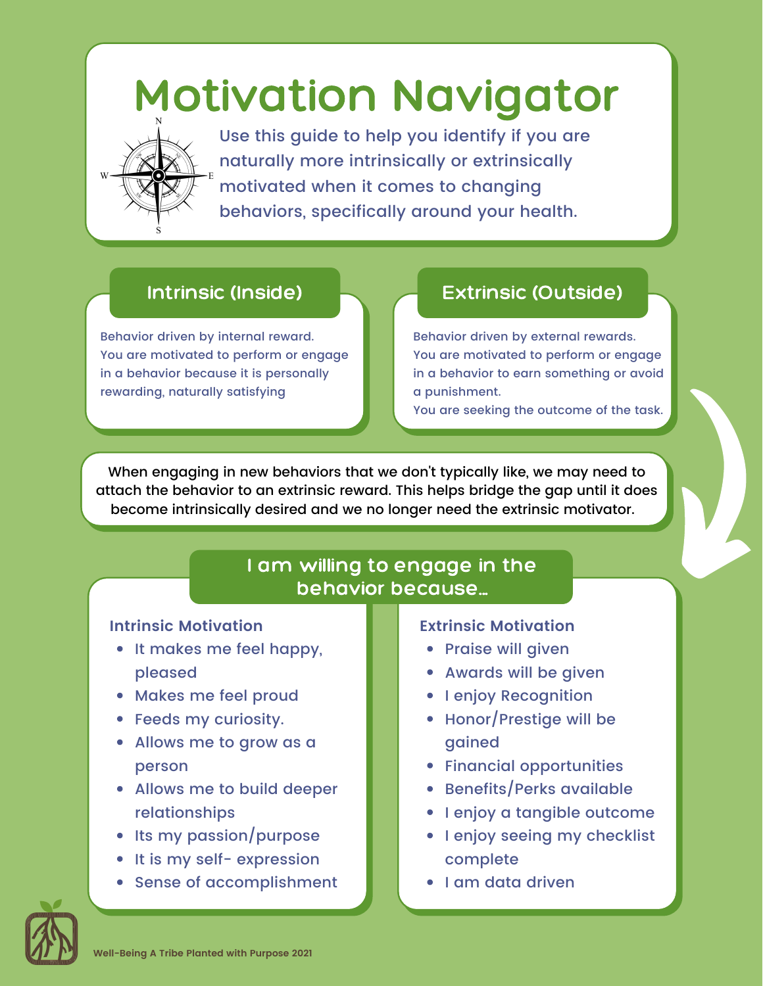# Motivation Navigator



Use this guide to help you identify if you are naturally more intrinsically or extrinsically motivated when it comes to changing behaviors, specifically around your health.

Behavior driven by internal reward. You are motivated to perform or engage in a behavior because it is personally rewarding, naturally satisfying

# Intrinsic (Inside) **Extrinsic (Outside)**

Behavior driven by external rewards. You are motivated to perform or engage in a behavior to earn something or avoid a punishment.

You are seeking the outcome of the task.

When engaging in new behaviors that we don't typically like, we may need to attach the behavior to an extrinsic reward. This helps bridge the gap until it does become intrinsically desired and we no longer need the extrinsic motivator.

# I am willing to engage in the behavior because...

#### **Intrinsic Motivation**

- It makes me feel happy, pleased
- Makes me feel proud
- Feeds my curiosity.
- Allows me to grow as a person
- Allows me to build deeper relationships
- Its my passion/purpose
- It is my self- expression
- Sense of accomplishment

#### **Extrinsic Motivation**

- Praise will given
- Awards will be given
- **I enjoy Recognition**
- Honor/Prestige will be gained
- Financial opportunities
- Benefits/Perks available
- I enjoy a tangible outcome
- I enjoy seeing my checklist complete
- I am data driven